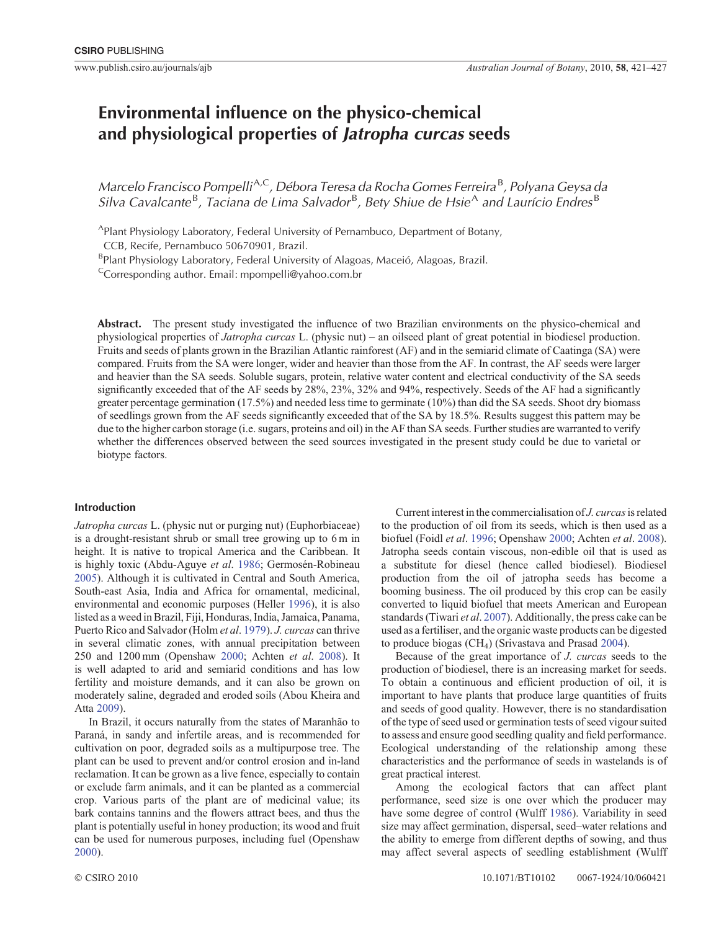# **Environmental influence on the physico-chemical and physiological properties of** *Jatropha curcas* **seeds**

*Marcelo Francisco Pompelli*A*,*C*, Débora Teresa da Rocha Gomes Ferreira* <sup>B</sup> *, Polyana Geysa da*  $S$ ilva Cavalcante<sup>B</sup>, Taciana de Lima Salvador<sup>B</sup>, Bety Shiue de Hsie<sup>A</sup> and Laurício Endres<sup>B</sup>

APlant Physiology Laboratory, Federal University of Pernambuco, Department of Botany,

CCB, Recife, Pernambuco 50670901, Brazil.

<sup>B</sup>Plant Physiology Laboratory, Federal University of Alagoas, Maceió, Alagoas, Brazil.

 $C$ Corresponding author. Email: mpompelli@yahoo.com.br

**Abstract.** The present study investigated the influence of two Brazilian environments on the physico-chemical and physiological properties of *Jatropha curcas* L. (physic nut) – an oilseed plant of great potential in biodiesel production. Fruits and seeds of plants grown in the Brazilian Atlantic rainforest (AF) and in the semiarid climate of Caatinga (SA) were compared. Fruits from the SA were longer, wider and heavier than those from the AF. In contrast, the AF seeds were larger and heavier than the SA seeds. Soluble sugars, protein, relative water content and electrical conductivity of the SA seeds significantly exceeded that of the AF seeds by 28%, 23%, 32% and 94%, respectively. Seeds of the AF had a significantly greater percentage germination (17.5%) and needed less time to germinate (10%) than did the SA seeds. Shoot dry biomass of seedlings grown from the AF seeds significantly exceeded that of the SA by 18.5%. Results suggest this pattern may be due to the higher carbon storage (i.e. sugars, proteins and oil) in the AF than SA seeds. Further studies are warranted to verify whether the differences observed between the seed sources investigated in the present study could be due to varietal or biotype factors.

# **Introduction**

*Jatropha curcas* L. (physic nut or purging nut) (Euphorbiaceae) is a drought-resistant shrub or small tree growing up to 6 m in height. It is native to tropical America and the Caribbean. It is highly toxic (Abdu-Aguye *et al*. [1986](#page-5-0); Germosén-Robineau [2005](#page-6-0)). Although it is cultivated in Central and South America, South-east Asia, India and Africa for ornamental, medicinal, environmental and economic purposes (Heller [1996](#page-6-0)), it is also listed as a weed in Brazil, Fiji, Honduras, India, Jamaica, Panama, Puerto Rico and Salvador (Holm *et al*. [1979\)](#page-6-0). *J. curcas* can thrive in several climatic zones, with annual precipitation between 250 and 1200 mm (Openshaw [2000](#page-6-0); Achten *et al*. [2008](#page-5-0)). It is well adapted to arid and semiarid conditions and has low fertility and moisture demands, and it can also be grown on moderately saline, degraded and eroded soils (Abou Kheira and Atta [2009](#page-5-0)).

In Brazil, it occurs naturally from the states of Maranhão to Paraná, in sandy and infertile areas, and is recommended for cultivation on poor, degraded soils as a multipurpose tree. The plant can be used to prevent and/or control erosion and in-land reclamation. It can be grown as a live fence, especially to contain or exclude farm animals, and it can be planted as a commercial crop. Various parts of the plant are of medicinal value; its bark contains tannins and the flowers attract bees, and thus the plant is potentially useful in honey production; its wood and fruit can be used for numerous purposes, including fuel (Openshaw [2000](#page-6-0)).

Current interest in the commercialisation of *J. curcas*is related to the production of oil from its seeds, which is then used as a biofuel (Foidl *et al*. [1996](#page-6-0); Openshaw [2000](#page-6-0); Achten *et al*. [2008](#page-5-0)). Jatropha seeds contain viscous, non-edible oil that is used as a substitute for diesel (hence called biodiesel). Biodiesel production from the oil of jatropha seeds has become a booming business. The oil produced by this crop can be easily converted to liquid biofuel that meets American and European standards (Tiwari *et al*. [2007](#page-6-0)). Additionally, the press cake can be used as a fertiliser, and the organic waste products can be digested to produce biogas  $(CH<sub>4</sub>)$  (Srivastava and Prasad [2004](#page-6-0)).

Because of the great importance of *J. curcas* seeds to the production of biodiesel, there is an increasing market for seeds. To obtain a continuous and efficient production of oil, it is important to have plants that produce large quantities of fruits and seeds of good quality. However, there is no standardisation of the type of seed used or germination tests of seed vigour suited to assess and ensure good seedling quality and field performance. Ecological understanding of the relationship among these characteristics and the performance of seeds in wastelands is of great practical interest.

Among the ecological factors that can affect plant performance, seed size is one over which the producer may have some degree of control (Wulff [1986](#page-6-0)). Variability in seed size may affect germination, dispersal, seed–water relations and the ability to emerge from different depths of sowing, and thus may affect several aspects of seedling establishment (Wulff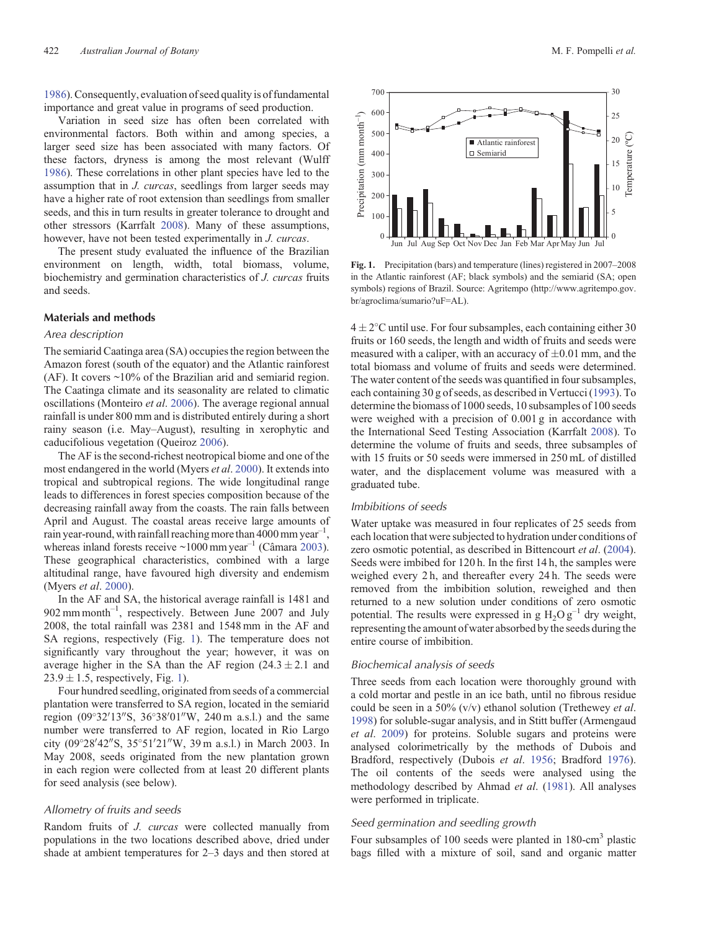[1986\)](#page-6-0). Consequently, evaluation of seed quality is of fundamental importance and great value in programs of seed production.

Variation in seed size has often been correlated with environmental factors. Both within and among species, a larger seed size has been associated with many factors. Of these factors, dryness is among the most relevant (Wulff [1986\)](#page-6-0). These correlations in other plant species have led to the assumption that in *J. curcas*, seedlings from larger seeds may have a higher rate of root extension than seedlings from smaller seeds, and this in turn results in greater tolerance to drought and other stressors (Karrfalt [2008\)](#page-6-0). Many of these assumptions, however, have not been tested experimentally in *J. curcas*.

The present study evaluated the influence of the Brazilian environment on length, width, total biomass, volume, biochemistry and germination characteristics of *J. curcas* fruits and seeds.

## **Materials and methods**

## *Area description*

The semiarid Caatinga area (SA) occupies the region between the Amazon forest (south of the equator) and the Atlantic rainforest (AF). It covers  $\sim$ 10% of the Brazilian arid and semiarid region. The Caatinga climate and its seasonality are related to climatic oscillations (Monteiro *et al*. [2006\)](#page-6-0). The average regional annual rainfall is under 800 mm and is distributed entirely during a short rainy season (i.e. May–August), resulting in xerophytic and caducifolious vegetation (Queiroz [2006](#page-6-0)).

The AF is the second-richest neotropical biome and one of the most endangered in the world (Myers *et al*. [2000](#page-6-0)). It extends into tropical and subtropical regions. The wide longitudinal range leads to differences in forest species composition because of the decreasing rainfall away from the coasts. The rain falls between April and August. The coastal areas receive large amounts of rain year-round, with rainfall reaching more than  $4000$  mm year<sup>-1</sup>, whereas inland forests receive  $\sim 1000$  mm year<sup>-1</sup> (Câmara [2003](#page-5-0)). These geographical characteristics, combined with a large altitudinal range, have favoured high diversity and endemism (Myers *et al*. [2000\)](#page-6-0).

In the AF and SA, the historical average rainfall is 1481 and 902 mm month–<sup>1</sup> , respectively. Between June 2007 and July 2008, the total rainfall was 2381 and 1548 mm in the AF and SA regions, respectively (Fig. 1). The temperature does not significantly vary throughout the year; however, it was on average higher in the SA than the AF region  $(24.3 \pm 2.1$  and  $23.9 \pm 1.5$ , respectively, Fig. 1).

Four hundred seedling, originated from seeds of a commercial plantation were transferred to SA region, located in the semiarid region  $(09°32'13''S, 36°38'01''W, 240m a.s.l.)$  and the same number were transferred to AF region, located in Rio Largo city (09°28′42″S, 35°51′21″W, 39 m a.s.l.) in March 2003. In May 2008, seeds originated from the new plantation grown in each region were collected from at least 20 different plants for seed analysis (see below).

#### *Allometry of fruits and seeds*

Random fruits of *J. curcas* were collected manually from populations in the two locations described above, dried under shade at ambient temperatures for 2–3 days and then stored at



**Fig. 1.** Precipitation (bars) and temperature (lines) registered in 2007–2008 in the Atlantic rainforest (AF; black symbols) and the semiarid (SA; open symbols) regions of Brazil. Source: Agritempo [\(http://www.agritempo.gov.](dx.doi.org/10.1177/096032718600500409) [br/agroclima/sumario?uF=AL](dx.doi.org/10.1177/096032718600500409)).

 $4 \pm 2$ °C until use. For four subsamples, each containing either 30 fruits or 160 seeds, the length and width of fruits and seeds were measured with a caliper, with an accuracy of  $\pm 0.01$  mm, and the total biomass and volume of fruits and seeds were determined. The water content of the seeds was quantified in four subsamples, each containing 30 g of seeds, as described in Vertucci ([1993\)](#page-6-0). To determine the biomass of 1000 seeds, 10 subsamples of 100 seeds were weighed with a precision of 0.001 g in accordance with the International Seed Testing Association (Karrfalt [2008\)](#page-6-0). To determine the volume of fruits and seeds, three subsamples of with 15 fruits or 50 seeds were immersed in 250 mL of distilled water, and the displacement volume was measured with a graduated tube.

# *Imbibitions of seeds*

Water uptake was measured in four replicates of 25 seeds from each location that were subjected to hydration under conditions of zero osmotic potential, as described in Bittencourt *et al*. ([2004](#page-5-0)). Seeds were imbibed for 120 h. In the first 14 h, the samples were weighed every 2h, and thereafter every 24h. The seeds were removed from the imbibition solution, reweighed and then returned to a new solution under conditions of zero osmotic potential. The results were expressed in g  $H_2O g^{-1}$  dry weight, representing the amount of water absorbed by the seeds during the entire course of imbibition.

### *Biochemical analysis of seeds*

Three seeds from each location were thoroughly ground with a cold mortar and pestle in an ice bath, until no fibrous residue could be seen in a 50% (v/v) ethanol solution (Trethewey *et al*. [1998\)](#page-6-0) for soluble-sugar analysis, and in Stitt buffer (Armengaud *et al*. [2009\)](#page-5-0) for proteins. Soluble sugars and proteins were analysed colorimetrically by the methods of Dubois and Bradford, respectively (Dubois *et al*. [1956](#page-5-0); Bradford [1976](#page-5-0)). The oil contents of the seeds were analysed using the methodology described by Ahmad *et al*. ([1981\)](#page-5-0). All analyses were performed in triplicate.

## *Seed germination and seedling growth*

Four subsamples of 100 seeds were planted in 180-cm<sup>3</sup> plastic bags filled with a mixture of soil, sand and organic matter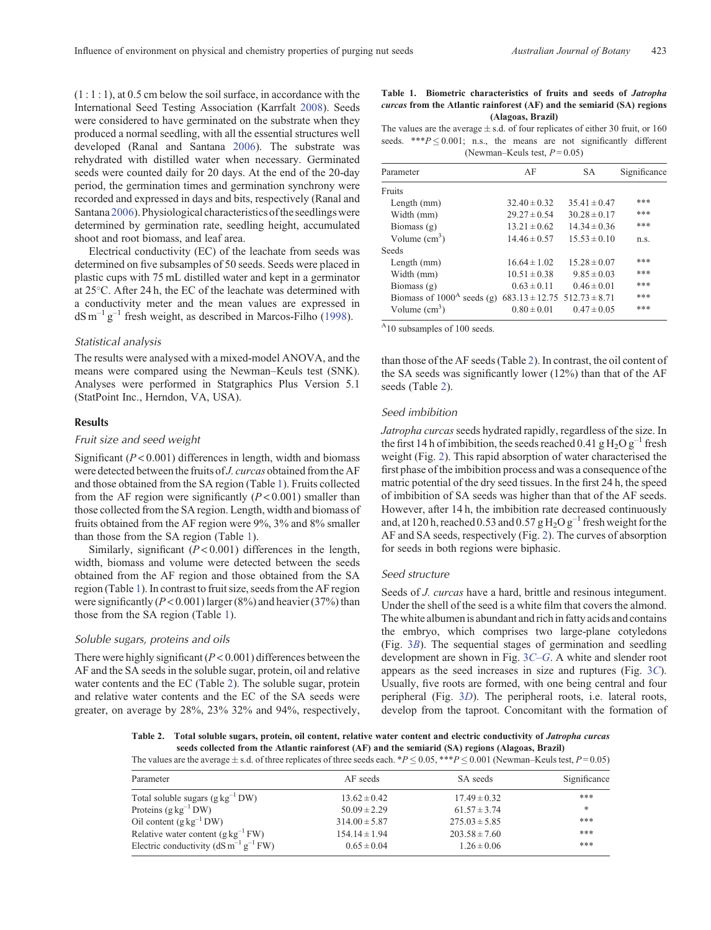$(1:1:1)$ , at 0.5 cm below the soil surface, in accordance with the International Seed Testing Association (Karrfalt [2008](#page-6-0)). Seeds were considered to have germinated on the substrate when they produced a normal seedling, with all the essential structures well developed (Ranal and Santana [2006](#page-6-0)). The substrate was rehydrated with distilled water when necessary. Germinated seeds were counted daily for 20 days. At the end of the 20-day period, the germination times and germination synchrony were recorded and expressed in days and bits, respectively (Ranal and Santana [2006](#page-6-0)). Physiological characteristics of the seedlings were determined by germination rate, seedling height, accumulated shoot and root biomass, and leaf area.

Electrical conductivity (EC) of the leachate from seeds was determined on five subsamples of 50 seeds. Seeds were placed in plastic cups with 75 mL distilled water and kept in a germinator at 25 C. After 24 h, the EC of the leachate was determined with a conductivity meter and the mean values are expressed in  $dS m^{-1} g^{-1}$  fresh weight, as described in Marcos-Filho ([1998\)](#page-6-0).

# *Statistical analysis*

The results were analysed with a mixed-model ANOVA, and the means were compared using the Newman–Keuls test (SNK). Analyses were performed in Statgraphics Plus Version 5.1 (StatPoint Inc., Herndon, VA, USA).

# **Results**

# *Fruit size and seed weight*

Significant (*P* < 0.001) differences in length, width and biomass were detected between the fruits of *J. curcas* obtained from the AF and those obtained from the SA region (Table 1). Fruits collected from the AF region were significantly  $(P<0.001)$  smaller than those collected from the SA region. Length, width and biomass of fruits obtained from the AF region were 9%, 3% and 8% smaller than those from the SA region (Table 1).

Similarly, significant (*P* < 0.001) differences in the length, width, biomass and volume were detected between the seeds obtained from the AF region and those obtained from the SA region (Table 1). In contrast to fruit size, seeds from the AF region were significantly  $(P < 0.001)$  larger  $(8\%)$  and heavier  $(37\%)$  than those from the SA region (Table 1).

# *Soluble sugars, proteins and oils*

There were highly significant (*P* < 0.001) differences between the AF and the SA seeds in the soluble sugar, protein, oil and relative water contents and the EC (Table 2). The soluble sugar, protein and relative water contents and the EC of the SA seeds were greater, on average by 28%, 23% 32% and 94%, respectively,

|                   |  |  | Table 1. Biometric characteristics of fruits and seeds of Jatropha            |  |  |  |  |  |
|-------------------|--|--|-------------------------------------------------------------------------------|--|--|--|--|--|
|                   |  |  | <i>curcas</i> from the Atlantic rainforest (AF) and the semiarid (SA) regions |  |  |  |  |  |
| (Alagoas, Brazil) |  |  |                                                                               |  |  |  |  |  |

The values are the average  $\pm$  s.d. of four replicates of either 30 fruit, or 160 seeds. \*\*\* $P \le 0.001$ ; n.s., the means are not significantly different (Newman–Keuls test, *P* = 0.05)

| Parameter                              | AF                                   | SА               | Significance |
|----------------------------------------|--------------------------------------|------------------|--------------|
| Fruits                                 |                                      |                  |              |
| Length (mm)                            | $32.40 \pm 0.32$                     | $35.41 \pm 0.47$ | ***          |
| Width (mm)                             | $29.27 \pm 0.54$                     | $30.28 \pm 0.17$ | ***          |
| Biomass (g)                            | $13.21 \pm 0.62$                     | $14.34 \pm 0.36$ | ***          |
| Volume $(cm3)$                         | $14.46 \pm 0.57$                     | $15.53 \pm 0.10$ | n.s.         |
| <b>Seeds</b>                           |                                      |                  |              |
| Length (mm)                            | $16.64 \pm 1.02$                     | $15.28 \pm 0.07$ | ***          |
| Width (mm)                             | $10.51 \pm 0.38$                     | $9.85 \pm 0.03$  | ***          |
| Biomass $(g)$                          | $0.63 \pm 0.11$                      | $0.46 \pm 0.01$  | ***          |
| Biomass of $1000^{\text{A}}$ seeds (g) | $683.13 \pm 12.75$ $512.73 \pm 8.71$ |                  | ***          |
| Volume $(cm3)$                         | $0.80 \pm 0.01$                      | $0.47 \pm 0.05$  | ***          |

A10 subsamples of 100 seeds.

than those of the AF seeds (Table 2). In contrast, the oil content of the SA seeds was significantly lower (12%) than that of the AF seeds (Table 2).

# *Seed imbibition*

*Jatropha curcas*seeds hydrated rapidly, regardless of the size. In the first 14 h of imbibition, the seeds reached 0.41 g  $H_2O g^{-1}$  fresh weight (Fig. [2](#page-3-0)). This rapid absorption of water characterised the first phase of the imbibition process and was a consequence of the matric potential of the dry seed tissues. In the first 24 h, the speed of imbibition of SA seeds was higher than that of the AF seeds. However, after 14 h, the imbibition rate decreased continuously and, at 120 h, reached 0.53 and 0.57  $g$  H<sub>2</sub>O  $g^{-1}$  fresh weight for the AF and SA seeds, respectively (Fig. [2\)](#page-3-0). The curves of absorption for seeds in both regions were biphasic.

# *Seed structure*

Seeds of *J. curcas* have a hard, brittle and resinous integument. Under the shell of the seed is a white film that covers the almond. The white albumen is abundant and rich in fatty acids and contains the embryo, which comprises two large-plane cotyledons (Fig. 3*[B](#page-4-0)*). The sequential stages of germination and seedling development are shown in Fig. 3*C*–*[G](#page-4-0)*. A white and slender root appears as the seed increases in size and ruptures (Fig. 3*[C](#page-4-0)*). Usually, five roots are formed, with one being central and four peripheral (Fig. 3*[D](#page-4-0)*). The peripheral roots, i.e. lateral roots, develop from the taproot. Concomitant with the formation of

**Table 2. Total soluble sugars, protein, oil content, relative water content and electric conductivity of** *Jatropha curcas* **seeds collected from the Atlantic rainforest (AF) and the semiarid (SA) regions (Alagoas, Brazil)** The values are the average  $\pm$  s.d. of three replicates of three seeds each. \**P*  $\leq$  0.05, \*\*\**P*  $\leq$  0.001 (Newman–Keuls test, *P* = 0.05)

| Parameter                                            | AF seeds          | SA seeds          | Significance |
|------------------------------------------------------|-------------------|-------------------|--------------|
|                                                      |                   |                   |              |
| Total soluble sugars $(g \text{ kg}^{-1} \text{DW})$ | $13.62 \pm 0.42$  | $17.49 \pm 0.32$  | ***          |
| Proteins $(g \, kg^{-1} DW)$                         | $50.09 \pm 2.29$  | $61.57 \pm 3.74$  | *            |
| Oil content $(g \, kg^{-1} DW)$                      | $314.00 \pm 5.87$ | $275.03 \pm 5.85$ | ***          |
| Relative water content $(g \, kg^{-1} \, FW)$        | $154.14 \pm 1.94$ | $203.58 \pm 7.60$ | ***          |
| Electric conductivity ( $dS m^{-1} g^{-1} FW$ )      | $0.65 \pm 0.04$   | $1.26 \pm 0.06$   | ***          |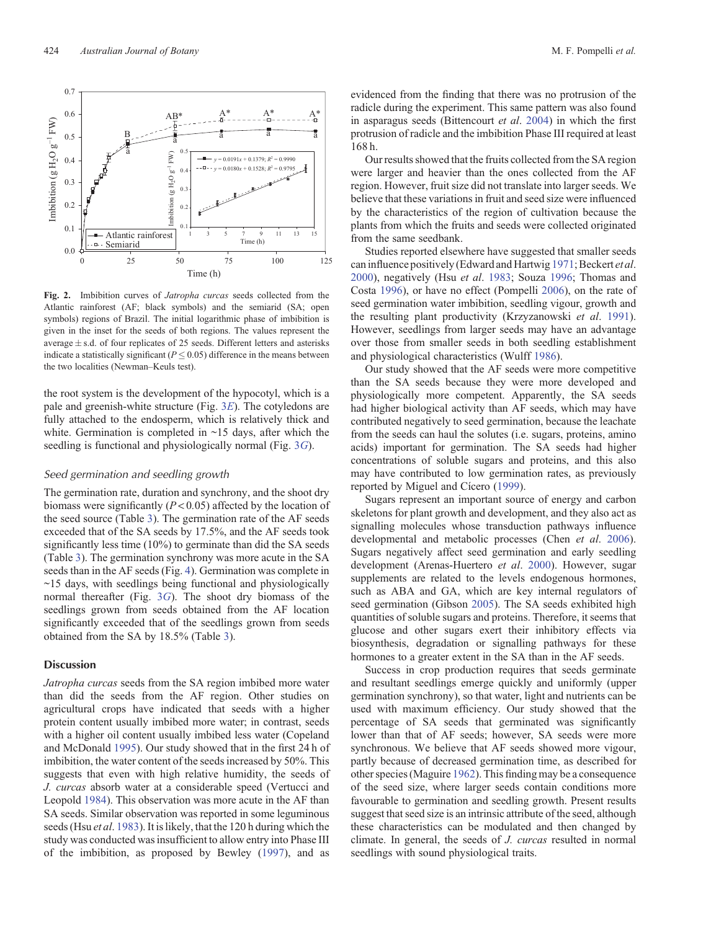

the root system is the development of the hypocotyl, which is a pale and greenish-white structure (Fig. 3*[E](#page-4-0)*). The cotyledons are fully attached to the endosperm, which is relatively thick and white. Germination is completed in  $\sim$ 15 days, after which the seedling is functional and physiologically normal (Fig. 3*[G](#page-4-0)*).

## *Seed germination and seedling growth*

The germination rate, duration and synchrony, and the shoot dry biomass were significantly (*P* < 0*.*05) affected by the location of the seed source (Table [3](#page-5-0)). The germination rate of the AF seeds exceeded that of the SA seeds by 17.5%, and the AF seeds took significantly less time (10%) to germinate than did the SA seeds (Table [3\)](#page-5-0). The germination synchrony was more acute in the SA seeds than in the AF seeds (Fig. [4\)](#page-5-0). Germination was complete in  $\sim$ 15 days, with seedlings being functional and physiologically normal thereafter (Fig. 3*[G](#page-4-0)*). The shoot dry biomass of the seedlings grown from seeds obtained from the AF location significantly exceeded that of the seedlings grown from seeds obtained from the SA by 18.5% (Table [3](#page-5-0)).

### **Discussion**

*Jatropha curcas* seeds from the SA region imbibed more water than did the seeds from the AF region. Other studies on agricultural crops have indicated that seeds with a higher protein content usually imbibed more water; in contrast, seeds with a higher oil content usually imbibed less water (Copeland and McDonald [1995](#page-5-0)). Our study showed that in the first 24 h of imbibition, the water content of the seeds increased by 50%. This suggests that even with high relative humidity, the seeds of *J. curcas* absorb water at a considerable speed (Vertucci and Leopold [1984](#page-6-0)). This observation was more acute in the AF than SA seeds. Similar observation was reported in some leguminous seeds (Hsu *et al*. [1983\)](#page-6-0). It is likely, that the 120 h during which the study was conducted was insufficient to allow entry into Phase III of the imbibition, as proposed by Bewley [\(1997](#page-5-0)), and as

evidenced from the finding that there was no protrusion of the radicle during the experiment. This same pattern was also found in asparagus seeds (Bittencourt *et al*. [2004\)](#page-5-0) in which the first protrusion of radicle and the imbibition Phase III required at least 168 h.

Our results showed that the fruits collected from the SA region were larger and heavier than the ones collected from the AF region. However, fruit size did not translate into larger seeds. We believe that these variations in fruit and seed size were influenced by the characteristics of the region of cultivation because the plants from which the fruits and seeds were collected originated from the same seedbank.

Studies reported elsewhere have suggested that smaller seeds can influence positively (Edward and Hartwig [1971](#page-6-0); Beckert *et al*. [2000\)](#page-5-0), negatively (Hsu *et al*. [1983](#page-6-0); Souza [1996;](#page-6-0) Thomas and Costa [1996](#page-6-0)), or have no effect (Pompelli [2006\)](#page-6-0), on the rate of seed germination water imbibition, seedling vigour, growth and the resulting plant productivity (Krzyzanowski *et al*. [1991](#page-6-0)). However, seedlings from larger seeds may have an advantage over those from smaller seeds in both seedling establishment and physiological characteristics (Wulff [1986](#page-6-0)).

Our study showed that the AF seeds were more competitive than the SA seeds because they were more developed and physiologically more competent. Apparently, the SA seeds had higher biological activity than AF seeds, which may have contributed negatively to seed germination, because the leachate from the seeds can haul the solutes (i.e. sugars, proteins, amino acids) important for germination. The SA seeds had higher concentrations of soluble sugars and proteins, and this also may have contributed to low germination rates, as previously reported by Miguel and Cícero [\(1999](#page-6-0)).

Sugars represent an important source of energy and carbon skeletons for plant growth and development, and they also act as signalling molecules whose transduction pathways influence developmental and metabolic processes (Chen *et al*. [2006](#page-5-0)). Sugars negatively affect seed germination and early seedling development (Arenas-Huertero *et al*. [2000](#page-5-0)). However, sugar supplements are related to the levels endogenous hormones, such as ABA and GA, which are key internal regulators of seed germination (Gibson [2005\)](#page-6-0). The SA seeds exhibited high quantities of soluble sugars and proteins. Therefore, it seems that glucose and other sugars exert their inhibitory effects via biosynthesis, degradation or signalling pathways for these hormones to a greater extent in the SA than in the AF seeds.

Success in crop production requires that seeds germinate and resultant seedlings emerge quickly and uniformly (upper germination synchrony), so that water, light and nutrients can be used with maximum efficiency. Our study showed that the percentage of SA seeds that germinated was significantly lower than that of AF seeds; however, SA seeds were more synchronous. We believe that AF seeds showed more vigour, partly because of decreased germination time, as described for other species (Maguire [1962](#page-6-0)). This finding may be a consequence of the seed size, where larger seeds contain conditions more favourable to germination and seedling growth. Present results suggest that seed size is an intrinsic attribute of the seed, although these characteristics can be modulated and then changed by climate. In general, the seeds of *J. curcas* resulted in normal seedlings with sound physiological traits.

<span id="page-3-0"></span>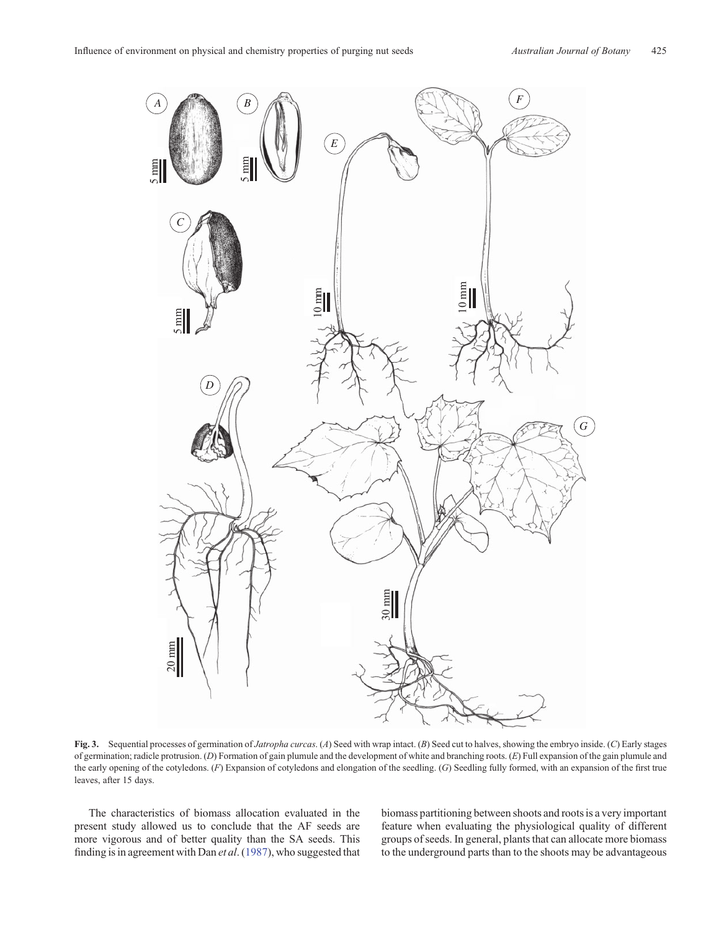<span id="page-4-0"></span>

**Fig. 3.** Sequential processes of germination of *Jatropha curcas*. (*A*) Seed with wrap intact. (*B*) Seed cut to halves, showing the embryo inside. (*C*) Early stages of germination; radicle protrusion. (*D*) Formation of gain plumule and the development of white and branching roots. (*E*) Full expansion of the gain plumule and the early opening of the cotyledons. (*F*) Expansion of cotyledons and elongation of the seedling. (*G*) Seedling fully formed, with an expansion of the first true leaves, after 15 days.

The characteristics of biomass allocation evaluated in the present study allowed us to conclude that the AF seeds are more vigorous and of better quality than the SA seeds. This finding is in agreement with Dan *et al*. [\(1987](#page-5-0)), who suggested that biomass partitioning between shoots and roots is a very important feature when evaluating the physiological quality of different groups of seeds. In general, plants that can allocate more biomass to the underground parts than to the shoots may be advantageous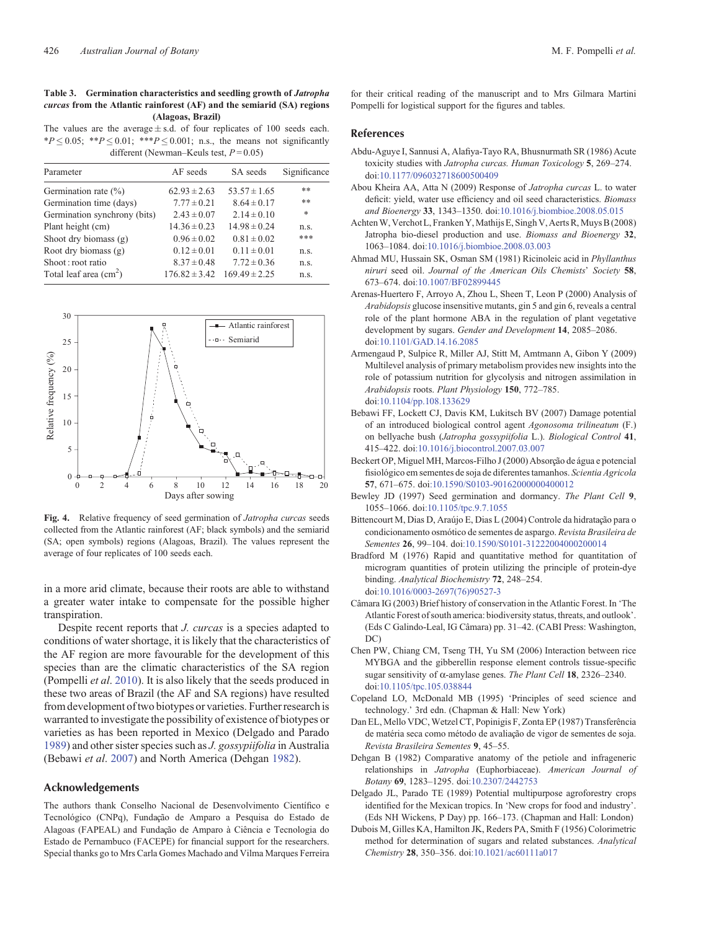## <span id="page-5-0"></span>**Table 3. Germination characteristics and seedling growth of** *Jatropha curcas* **from the Atlantic rainforest (AF) and the semiarid (SA) regions (Alagoas, Brazil)**

The values are the average  $\pm$  s.d. of four replicates of 100 seeds each.  $*P \leq 0.05$ ;  $**P \leq 0.01$ ;  $**P \leq 0.001$ ; n.s., the means not significantly different (Newman–Keuls test, *P* = 0.05)

| Parameter                              | AF seeds          | SA seeds          | Significance |
|----------------------------------------|-------------------|-------------------|--------------|
| Germination rate $(\%)$                | $62.93 \pm 2.63$  | $53.57 \pm 1.65$  | **           |
| Germination time (days)                | $7.77 \pm 0.21$   | $8.64 \pm 0.17$   | **           |
| Germination synchrony (bits)           | $2.43 \pm 0.07$   | $2.14 \pm 0.10$   | $\ast$       |
| Plant height (cm)                      | $14.36 \pm 0.23$  | $14.98 \pm 0.24$  | n.S.         |
| Shoot dry biomass $(g)$                | $0.96 \pm 0.02$   | $0.81 \pm 0.02$   | ***          |
| Root dry biomass (g)                   | $0.12 \pm 0.01$   | $0.11 \pm 0.01$   | n.s.         |
| Shoot: root ratio                      | $8.37 \pm 0.48$   | $7.72 \pm 0.36$   | n.s.         |
| Total leaf area $\text{(cm}^2\text{)}$ | $176.82 \pm 3.42$ | $169.49 \pm 2.25$ | n.s.         |
|                                        |                   |                   |              |



**Fig. 4.** Relative frequency of seed germination of *Jatropha curcas* seeds collected from the Atlantic rainforest (AF; black symbols) and the semiarid (SA; open symbols) regions (Alagoas, Brazil). The values represent the average of four replicates of 100 seeds each.

in a more arid climate, because their roots are able to withstand a greater water intake to compensate for the possible higher transpiration.

Despite recent reports that *J. curcas* is a species adapted to conditions of water shortage, it is likely that the characteristics of the AF region are more favourable for the development of this species than are the climatic characteristics of the SA region (Pompelli *et al*. [2010](#page-6-0)). It is also likely that the seeds produced in these two areas of Brazil (the AF and SA regions) have resulted from development of two biotypes or varieties. Further research is warranted to investigate the possibility of existence of biotypes or varieties as has been reported in Mexico (Delgado and Parado 1989) and other sister species such as *J. gossypiifolia* in Australia (Bebawi *et al*. 2007) and North America (Dehgan 1982).

## **Acknowledgements**

The authors thank Conselho Nacional de Desenvolvimento Científico e Tecnológico (CNPq), Fundação de Amparo a Pesquisa do Estado de Alagoas (FAPEAL) and Fundação de Amparo à Ciência e Tecnologia do Estado de Pernambuco (FACEPE) for financial support for the researchers. Special thanks go to Mrs Carla Gomes Machado and Vilma Marques Ferreira

for their critical reading of the manuscript and to Mrs Gilmara Martini Pompelli for logistical support for the figures and tables.

# **References**

- Abdu-Aguye I, Sannusi A, Alafiya-Tayo RA, Bhusnurmath SR (1986) Acute toxicity studies with *Jatropha curcas. Human Toxicology* **5**, 269–274. doi:[10.1177/096032718600500409](dx.doi.org/10.1177/096032718600500409)
- Abou Kheira AA, Atta N (2009) Response of *Jatropha curcas* L. to water deficit: yield, water use efficiency and oil seed characteristics. *Biomass and Bioenergy* **33**, 1343–1350. doi:[10.1016/j.biombioe.2008.05.015](dx.doi.org/10.1016/j.biombioe.2008.05.015)
- Achten W, Verchot L, Franken Y, Mathijs E, Singh V, Aerts R, Muys B (2008) Jatropha bio-diesel production and use. *Biomass and Bioenergy* **32**, 1063–1084. doi[:10.1016/j.biombioe.2008.03.003](dx.doi.org/10.1016/j.biombioe.2008.03.003)
- Ahmad MU, Hussain SK, Osman SM (1981) Ricinoleic acid in *Phyllanthus niruri* seed oil. *Journal of the American Oils Chemists*' *Society* **58**, 673–674. doi[:10.1007/BF02899445](dx.doi.org/10.1007/BF02899445)
- Arenas-Huertero F, Arroyo A, Zhou L, Sheen T, Leon P (2000) Analysis of *Arabidopsis* glucose insensitive mutants, gin 5 and gin 6, reveals a central role of the plant hormone ABA in the regulation of plant vegetative development by sugars. *Gender and Development* **14**, 2085–2086. doi:[10.1101/GAD.14.16.2085](dx.doi.org/10.1101/GAD.14.16.2085)
- Armengaud P, Sulpice R, Miller AJ, Stitt M, Amtmann A, Gibon Y (2009) Multilevel analysis of primary metabolism provides new insights into the role of potassium nutrition for glycolysis and nitrogen assimilation in *Arabidopsis* roots. *Plant Physiology* **150**, 772–785. doi:[10.1104/pp.108.133629](dx.doi.org/10.1104/pp.108.133629)
- Bebawi FF, Lockett CJ, Davis KM, Lukitsch BV (2007) Damage potential of an introduced biological control agent *Agonosoma trilineatum* (F.) on bellyache bush (*Jatropha gossypiifolia* L.). *Biological Control* **41**, 415–422. doi[:10.1016/j.biocontrol.2007.03.007](dx.doi.org/10.1016/j.biocontrol.2007.03.007)
- Beckert OP, Miguel MH, Marcos-Filho J (2000) Absorção de água e potencial fisiológico em sementes de soja de diferentes tamanhos. *Scientia Agricola* **57**, 671–675. doi[:10.1590/S0103-90162000000400012](dx.doi.org/10.1590/S0103-90162000000400012)
- Bewley JD (1997) Seed germination and dormancy. *The Plant Cell* **9**, 1055–1066. doi[:10.1105/tpc.9.7.1055](dx.doi.org/10.1105/tpc.9.7.1055)
- Bittencourt M, Dias D, Araújo E, Dias L (2004) Controle da hidratação para o condicionamento osmótico de sementes de aspargo. *Revista Brasileira de Sementes* **26**, 99–104. doi:[10.1590/S0101-31222004000200014](dx.doi.org/10.1590/S0101-31222004000200014)
- Bradford M (1976) Rapid and quantitative method for quantitation of microgram quantities of protein utilizing the principle of protein-dye binding. *Analytical Biochemistry* **72**, 248–254. doi:[10.1016/0003-2697\(76\)90527-3](dx.doi.org/10.1016/0003-2697(76)90527-3)
- Câmara IG (2003) Brief history of conservation in the Atlantic Forest. In 'The Atlantic Forest of south america: biodiversity status, threats, and outlook'. (Eds C Galindo-Leal, IG Câmara) pp. 31–42. (CABI Press: Washington, DC)
- Chen PW, Chiang CM, Tseng TH, Yu SM (2006) Interaction between rice MYBGA and the gibberellin response element controls tissue-specific sugar sensitivity of  $\alpha$ -amylase genes. *The Plant Cell* 18, 2326–2340. doi:[10.1105/tpc.105.038844](dx.doi.org/10.1105/tpc.105.038844)
- Copeland LO, McDonald MB (1995) 'Principles of seed science and technology.' 3rd edn. (Chapman & Hall: New York)
- Dan EL, Mello VDC, Wetzel CT, Popinigis F, Zonta EP (1987) Transferência de matéria seca como método de avaliação de vigor de sementes de soja. *Revista Brasileira Sementes* **9**, 45–55.
- Dehgan B (1982) Comparative anatomy of the petiole and infrageneric relationships in *Jatropha* (Euphorbiaceae). *American Journal of Botany* **69**, 1283–1295. doi:[10.2307/2442753](dx.doi.org/10.2307/2442753)
- Delgado JL, Parado TE (1989) Potential multipurpose agroforestry crops identified for the Mexican tropics. In 'New crops for food and industry'. (Eds NH Wickens, P Day) pp. 166–173. (Chapman and Hall: London)
- Dubois M, Gilles KA, Hamilton JK, Reders PA, Smith F (1956) Colorimetric method for determination of sugars and related substances. *Analytical Chemistry* **28**, 350–356. doi:[10.1021/ac60111a017](dx.doi.org/10.1021/ac60111a017)